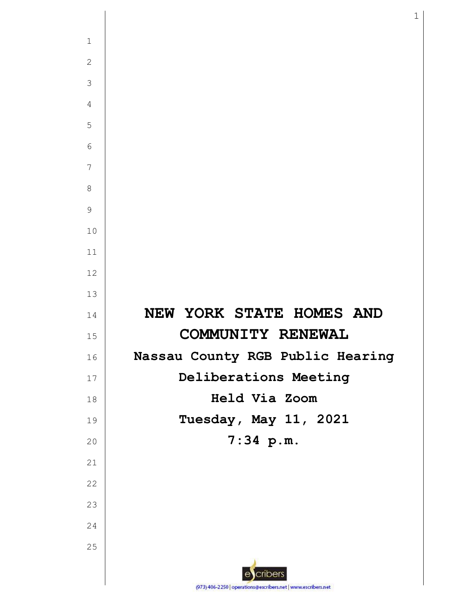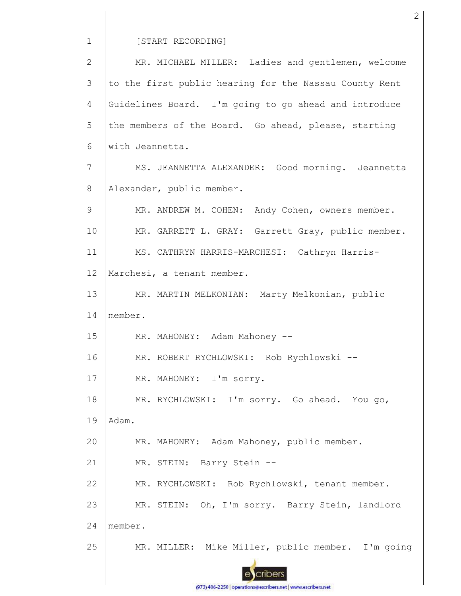## [START RECORDING]

MR. MICHAEL MILLER: Ladies and gentlemen, welcome 2 3 to the first public hearing for the Nassau County Rent Guidelines Board. I'm going to go ahead and introduce 4 5 the members of the Board. Go ahead, please, starting 6 with Jeannetta. 7 MS. JEANNETTA ALEXANDER: Good morning. Jeannetta Alexander, public member. 8 9 MR. ANDREW M. COHEN: Andy Cohen, owners member. 10 MR. GARRETT L. GRAY: Garrett Gray, public member. 11 MS. CATHRYN HARRIS-MARCHESI: Cathryn Harris-12 Marchesi, a tenant member. 13 MR. MARTIN MELKONIAN: Marty Melkonian, public 14 member. 15 MR. MAHONEY: Adam Mahoney -- MR. ROBERT RYCHLOWSKI: Rob Rychlowski -- 16 17 MR. MAHONEY: I'm sorry. 18 MR. RYCHLOWSKI: I'm sorry. Go ahead. You go, 19 Adam. 20 MR. MAHONEY: Adam Mahoney, public member. 21 MR. STEIN: Barry Stein -- MR. RYCHLOWSKI: Rob Rychlowski, tenant member. 22 23 MR. STEIN: Oh, I'm sorry. Barry Stein, landlord 24 member. MR. MILLER: Mike Miller, public member. I'm going 25 cribers

(973) 406-2250 | operations@escribers.net | www.escribers.net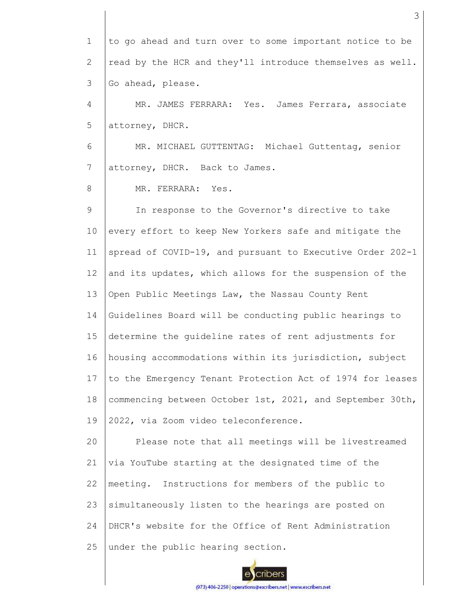1 2 3 4 5 6 7 8 9 10 11 12 13 14 15 16 17 18 19 20 21 22 23 24 25 to go ahead and turn over to some important notice to be read by the HCR and they'll introduce themselves as well. Go ahead, please. MR. JAMES FERRARA: Yes. James Ferrara, associate attorney, DHCR. MR. MICHAEL GUTTENTAG: Michael Guttentag, senior attorney, DHCR. Back to James. MR. FERRARA: Yes. In response to the Governor's directive to take every effort to keep New Yorkers safe and mitigate the spread of COVID-19, and pursuant to Executive Order 202-1 and its updates, which allows for the suspension of the Open Public Meetings Law, the Nassau County Rent Guidelines Board will be conducting public hearings to determine the guideline rates of rent adjustments for housing accommodations within its jurisdiction, subject to the Emergency Tenant Protection Act of 1974 for leases commencing between October 1st, 2021, and September 30th, 2022, via Zoom video teleconference. Please note that all meetings will be livestreamed via YouTube starting at the designated time of the meeting. Instructions for members of the public to simultaneously listen to the hearings are posted on DHCR's website for the Office of Rent Administration under the public hearing section.

3

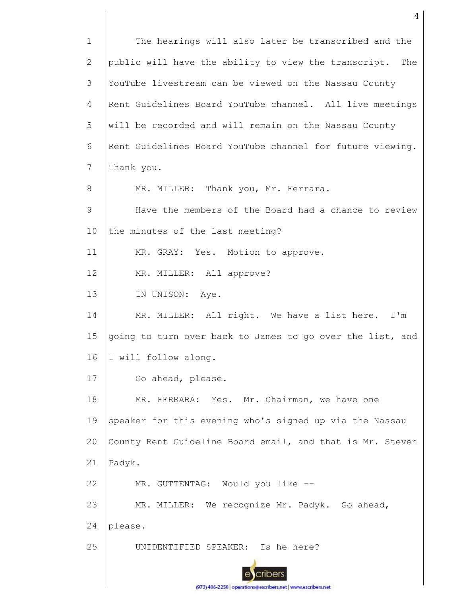The hearings will also later be transcribed and the 1 public will have the ability to view the transcript. The 2 YouTube livestream can be viewed on the Nassau County 3 Rent Guidelines Board YouTube channel. All live meetings 4 5 will be recorded and will remain on the Nassau County 6 Rent Guidelines Board YouTube channel for future viewing. 7 Thank you. MR. MILLER: Thank you, Mr. Ferrara. 8 9 Have the members of the Board had a chance to review 10 the minutes of the last meeting? 11 MR. GRAY: Yes. Motion to approve. 12 MR. MILLER: All approve? 13 IN UNISON: Aye. MR. MILLER: All right. We have a list here. I'm 14 15 going to turn over back to James to go over the list, and 16 I will follow along. 17 Go ahead, please. 18 MR. FERRARA: Yes. Mr. Chairman, we have one 19 speaker for this evening who's signed up via the Nassau  $20$ County Rent Guideline Board email, and that is Mr. Steven 21 Padyk. 22 MR. GUTTENTAG: Would you like -- 23 MR. MILLER: We recognize Mr. Padyk. Go ahead, 24 please. 25 UNIDENTIFIED SPEAKER: Is he here?cribers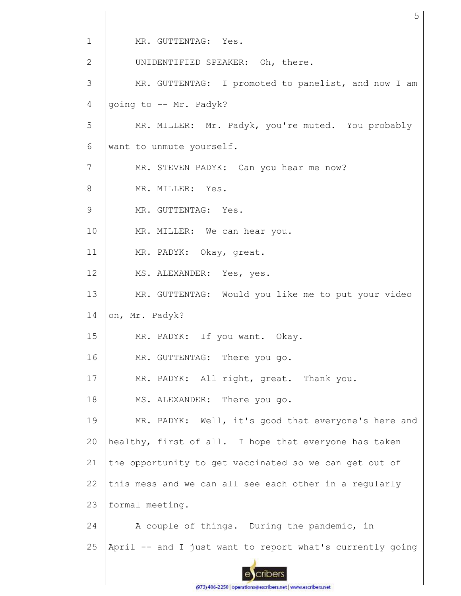1 MR. GUTTENTAG: Yes. 2 UNIDENTIFIED SPEAKER: Oh, there. 3 MR. GUTTENTAG: I promoted to panelist, and now I am 4 going to -- Mr. Padyk? 5 MR. MILLER: Mr. Padyk, you're muted. You probably 6 want to unmute yourself. 7 MR. STEVEN PADYK: Can you hear me now? 8 MR. MILLER: Yes. 9 MR. GUTTENTAG: Yes. 10 MR. MILLER: We can hear you. 11 MR. PADYK: Okay, great. 12 MS. ALEXANDER: Yes, yes. 13 MR. GUTTENTAG: Would you like me to put your video 14 on, Mr. Padyk? 15 MR. PADYK: If you want. Okay. MR. GUTTENTAG: There you go. 16 17 MR. PADYK: All right, great. Thank you. 18 MS. ALEXANDER: There you go. 19 MR. PADYK: Well, it's good that everyone's here and 20 healthy, first of all. I hope that everyone has taken 21 the opportunity to get vaccinated so we can get out of this mess and we can all see each other in a regularly 22 23 formal meeting. 24 A couple of things. During the pandemic, in 25 April -- and I just want to report what's currently going cribers

5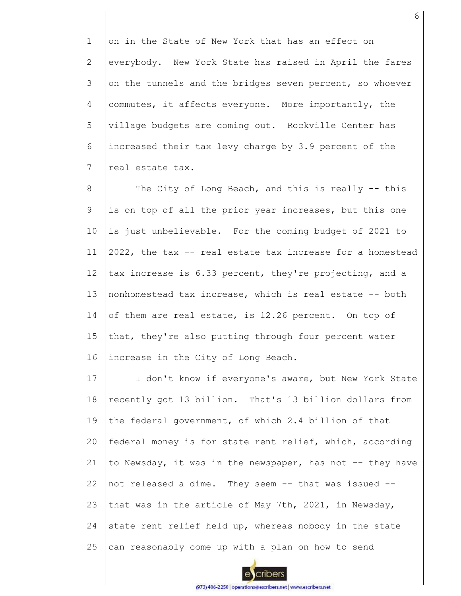1 2 3 4 5 6 7 on in the State of New York that has an effect on everybody. New York State has raised in April the fares on the tunnels and the bridges seven percent, so whoever commutes, it affects everyone. More importantly, the village budgets are coming out. Rockville Center has increased their tax levy charge by 3.9 percent of the real estate tax.

8 9 10 11 12 13 14 15 16 The City of Long Beach, and this is really -- this is on top of all the prior year increases, but this one is just unbelievable. For the coming budget of 2021 to 2022, the tax -- real estate tax increase for a homestead tax increase is 6.33 percent, they're projecting, and a nonhomestead tax increase, which is real estate -- both of them are real estate, is 12.26 percent. On top of that, they're also putting through four percent water increase in the City of Long Beach.

17 18 19 20 21 22 23 24 25 I don't know if everyone's aware, but New York State recently got 13 billion. That's 13 billion dollars from the federal government, of which 2.4 billion of that federal money is for state rent relief, which, according to Newsday, it was in the newspaper, has not -- they have not released a dime. They seem -- that was issued - that was in the article of May 7th, 2021, in Newsday, state rent relief held up, whereas nobody in the state can reasonably come up with a plan on how to send

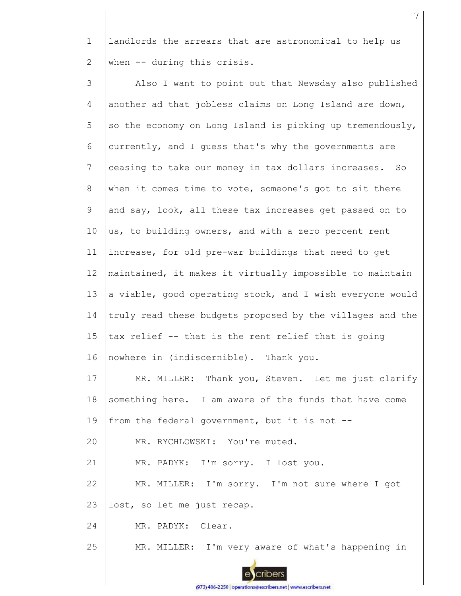1 2 landlords the arrears that are astronomical to help us when -- during this crisis.

3 4 5 6 7 8 9 10 11 12 13 14 15 16 17 18 19 20 21 22 23 24 25 Also I want to point out that Newsday also published another ad that jobless claims on Long Island are down, so the economy on Long Island is picking up tremendously, currently, and I guess that's why the governments are ceasing to take our money in tax dollars increases. So when it comes time to vote, someone's got to sit there and say, look, all these tax increases get passed on to us, to building owners, and with a zero percent rent increase, for old pre-war buildings that need to get maintained, it makes it virtually impossible to maintain a viable, good operating stock, and I wish everyone would truly read these budgets proposed by the villages and the tax relief -- that is the rent relief that is going nowhere in (indiscernible). Thank you. MR. MILLER: Thank you, Steven. Let me just clarify something here. I am aware of the funds that have come from the federal government, but it is not -- MR. RYCHLOWSKI: You're muted. MR. PADYK: I'm sorry. I lost you. MR. MILLER: I'm sorry. I'm not sure where I got lost, so let me just recap. MR. PADYK: Clear. MR. MILLER: I'm very aware of what's happening in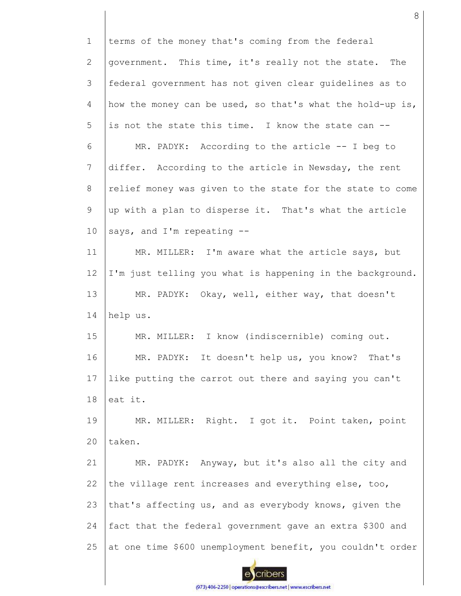1 terms of the money that's coming from the federal government. This time, it's really not the state. The 2 3 federal government has not given clear guidelines as to 4 how the money can be used, so that's what the hold-up is, 5 is not the state this time. I know the state can -- 6 MR. PADYK: According to the article -- I beg to 7 differ. According to the article in Newsday, the rent 8 relief money was given to the state for the state to come 9 up with a plan to disperse it. That's what the article 10 says, and I'm repeating -- MR. MILLER: I'm aware what the article says, but 11 12 I'm just telling you what is happening in the background. 13 MR. PADYK: Okay, well, either way, that doesn't 14 help us. 15 MR. MILLER: I know (indiscernible) coming out. 16 MR. PADYK: It doesn't help us, you know? That's 17 like putting the carrot out there and saying you can't 18 eat it. MR. MILLER: Right. I got it. Point taken, point 19 20 taken. 21 MR. PADYK: Anyway, but it's also all the city and 22 the village rent increases and everything else, too, 23 that's affecting us, and as everybody knows, given the fact that the federal government gave an extra \$300 and 24 25 at one time \$600 unemployment benefit, you couldn't order cribers

8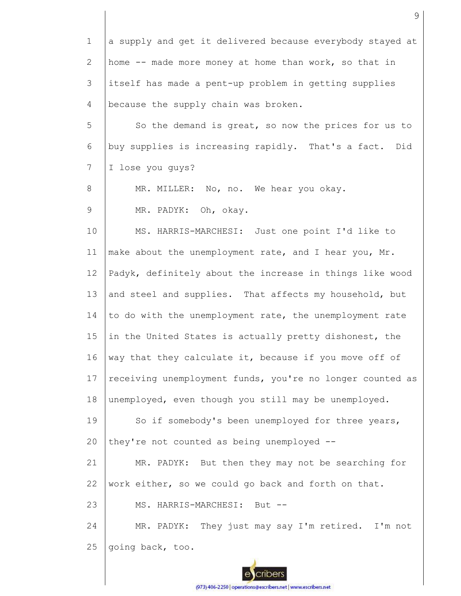1 2 3 4 5 6 7 8 9 10 11 12 13 14 15 16 17 18 19 20 21 22 23 24 25 a supply and get it delivered because everybody stayed at home -- made more money at home than work, so that in itself has made a pent-up problem in getting supplies because the supply chain was broken. So the demand is great, so now the prices for us to buy supplies is increasing rapidly. That's a fact. Did I lose you guys? MR. MILLER: No, no. We hear you okay. MR. PADYK: Oh, okay. MS. HARRIS-MARCHESI: Just one point I'd like to make about the unemployment rate, and I hear you, Mr. Padyk, definitely about the increase in things like wood and steel and supplies. That affects my household, but to do with the unemployment rate, the unemployment rate in the United States is actually pretty dishonest, the way that they calculate it, because if you move off of receiving unemployment funds, you're no longer counted as unemployed, even though you still may be unemployed. So if somebody's been unemployed for three years, they're not counted as being unemployed -- MR. PADYK: But then they may not be searching for work either, so we could go back and forth on that. MS. HARRIS-MARCHESI: But --MR. PADYK: They just may say I'm retired. I'm not going back, too.

9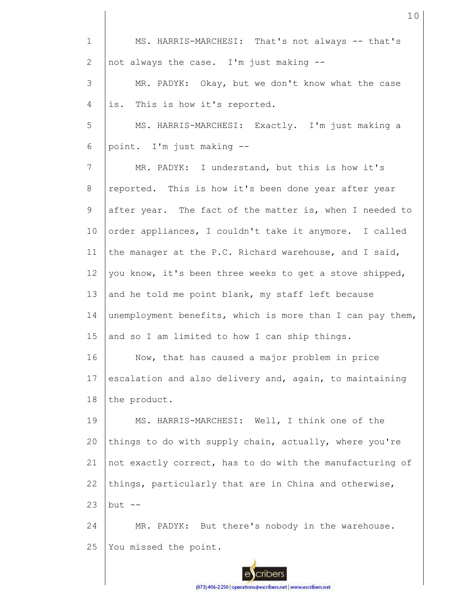| $\mathbf 1$    | MS. HARRIS-MARCHESI: That's not always -- that's          |
|----------------|-----------------------------------------------------------|
| $\overline{2}$ | not always the case. I'm just making --                   |
| 3              | MR. PADYK: Okay, but we don't know what the case          |
| 4              | This is how it's reported.<br>is.                         |
| 5              | MS. HARRIS-MARCHESI: Exactly. I'm just making a           |
| 6              | point. I'm just making --                                 |
| 7              | MR. PADYK: I understand, but this is how it's             |
| 8              | reported. This is how it's been done year after year      |
| $\mathsf 9$    | after year. The fact of the matter is, when I needed to   |
| 10             | order appliances, I couldn't take it anymore. I called    |
| 11             | the manager at the P.C. Richard warehouse, and I said,    |
| 12             | you know, it's been three weeks to get a stove shipped,   |
| 13             | and he told me point blank, my staff left because         |
| 14             | unemployment benefits, which is more than I can pay them, |
| 15             | and so I am limited to how I can ship things.             |
| 16             | Now, that has caused a major problem in price             |
| 17             | escalation and also delivery and, again, to maintaining   |
| 18             | the product.                                              |
| 19             | MS. HARRIS-MARCHESI: Well, I think one of the             |
| 20             | things to do with supply chain, actually, where you're    |
| 21             | not exactly correct, has to do with the manufacturing of  |
| 22             | things, particularly that are in China and otherwise,     |
| 23             | $but --$                                                  |
| 24             | MR. PADYK: But there's nobody in the warehouse.           |
| 25             | You missed the point.                                     |
|                |                                                           |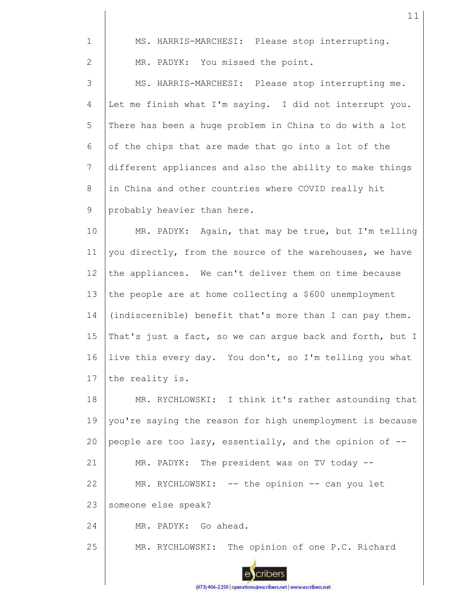| $\mathbf{1}$   | MS. HARRIS-MARCHESI: Please stop interrupting.            |
|----------------|-----------------------------------------------------------|
| $\mathbf{2}$   | MR. PADYK: You missed the point.                          |
| 3              | MS. HARRIS-MARCHESI: Please stop interrupting me.         |
| $\overline{4}$ | Let me finish what I'm saying. I did not interrupt you.   |
| 5              | There has been a huge problem in China to do with a lot   |
| $\sqrt{6}$     | of the chips that are made that go into a lot of the      |
| 7              | different appliances and also the ability to make things  |
| 8              | in China and other countries where COVID really hit       |
| 9              | probably heavier than here.                               |
| 10             | MR. PADYK: Again, that may be true, but I'm telling       |
| 11             | you directly, from the source of the warehouses, we have  |
| 12             | the appliances. We can't deliver them on time because     |
| 13             | the people are at home collecting a \$600 unemployment    |
| 14             | (indiscernible) benefit that's more than I can pay them.  |
| 15             | That's just a fact, so we can argue back and forth, but I |
| 16             | live this every day. You don't, so I'm telling you what   |
| 17             | the reality is.                                           |
| 18             | MR. RYCHLOWSKI: I think it's rather astounding that       |
| 19             | you're saying the reason for high unemployment is because |
| 20             | people are too lazy, essentially, and the opinion of --   |
| 21             | MR. PADYK: The president was on TV today --               |
| 22             | MR. RYCHLOWSKI: -- the opinion -- can you let             |
| 23             | someone else speak?                                       |
| 24             | MR. PADYK: Go ahead.                                      |
| 25             | MR. RYCHLOWSKI: The opinion of one P.C. Richard           |
|                |                                                           |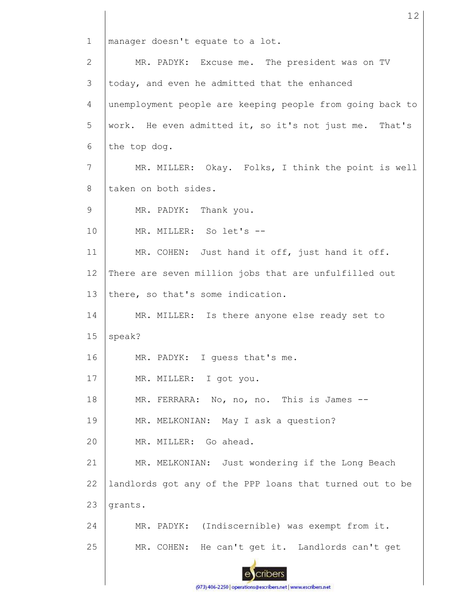1 manager doesn't equate to a lot. MR. PADYK: Excuse me. The president was on TV 2 3 today, and even he admitted that the enhanced 4 unemployment people are keeping people from going back to 5 work. He even admitted it, so it's not just me. That's 6 the top dog. 7 MR. MILLER: Okay. Folks, I think the point is well taken on both sides. 8 9 MR. PADYK: Thank you. 10 MR. MILLER: So let's -- MR. COHEN: Just hand it off, just hand it off. 11 12 There are seven million jobs that are unfulfilled out 13 there, so that's some indication. 14 MR. MILLER: Is there anyone else ready set to 15 speak? 16 MR. PADYK: I guess that's me. 17 MR. MILLER: I got you. 18 MR. FERRARA: No, no, no. This is James --19 MR. MELKONIAN: May I ask a question? MR. MILLER: Go ahead. 20 21 MR. MELKONIAN: Just wondering if the Long Beach landlords got any of the PPP loans that turned out to be 22 23 grants. 24 MR. PADYK: (Indiscernible) was exempt from it. 25 MR. COHEN: He can't get it. Landlords can't get cribers

12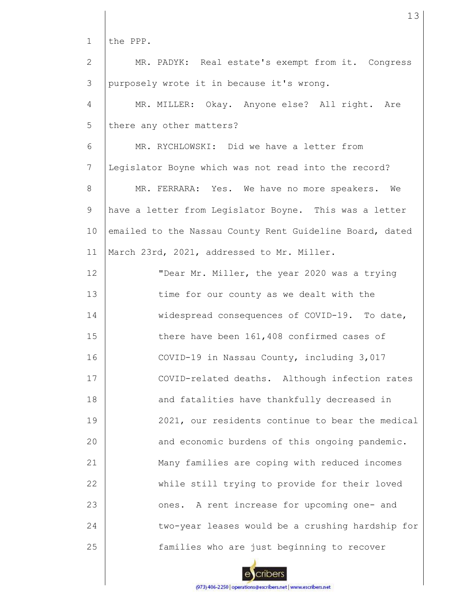1 2 3 4 5 6 7 8 9 10 11 12 13 14 15 16 17 18 19 20 21 22 23 24 25 the PPP. MR. PADYK: Real estate's exempt from it. Congress purposely wrote it in because it's wrong. MR. MILLER: Okay. Anyone else? All right. Are there any other matters? MR. RYCHLOWSKI: Did we have a letter from Legislator Boyne which was not read into the record? MR. FERRARA: Yes. We have no more speakers. We have a letter from Legislator Boyne. This was a letter emailed to the Nassau County Rent Guideline Board, dated March 23rd, 2021, addressed to Mr. Miller. "Dear Mr. Miller, the year 2020 was a trying time for our county as we dealt with the widespread consequences of COVID-19. To date, there have been 161,408 confirmed cases of COVID-19 in Nassau County, including 3,017 COVID-related deaths. Although infection rates and fatalities have thankfully decreased in 2021, our residents continue to bear the medical and economic burdens of this ongoing pandemic. Many families are coping with reduced incomes while still trying to provide for their loved ones. A rent increase for upcoming one- and two-year leases would be a crushing hardship for families who are just beginning to recover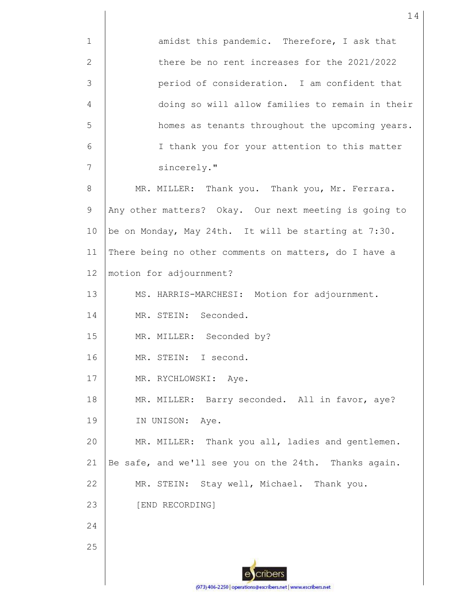1 2 3 4 5 6 7 8 9 10 11 12 13 14 15 16 17 18 19 20 21 22 23 24 25 amidst this pandemic. Therefore, I ask that there be no rent increases for the 2021/2022 period of consideration. I am confident that doing so will allow families to remain in their homes as tenants throughout the upcoming years. I thank you for your attention to this matter sincerely." MR. MILLER: Thank you. Thank you, Mr. Ferrara. Any other matters? Okay. Our next meeting is going to be on Monday, May 24th. It will be starting at 7:30. There being no other comments on matters, do I have a motion for adjournment? MS. HARRIS-MARCHESI: Motion for adjournment. MR. STEIN: Seconded. MR. MILLER: Seconded by? MR. STEIN: I second. MR. RYCHLOWSKI: Aye. MR. MILLER: Barry seconded. All in favor, aye? IN UNISON: Aye. MR. MILLER: Thank you all, ladies and gentlemen. Be safe, and we'll see you on the 24th. Thanks again. MR. STEIN: Stay well, Michael. Thank you. [END RECORDING]

(973) 406-2250 | operations@escribers.net | www.escribers.net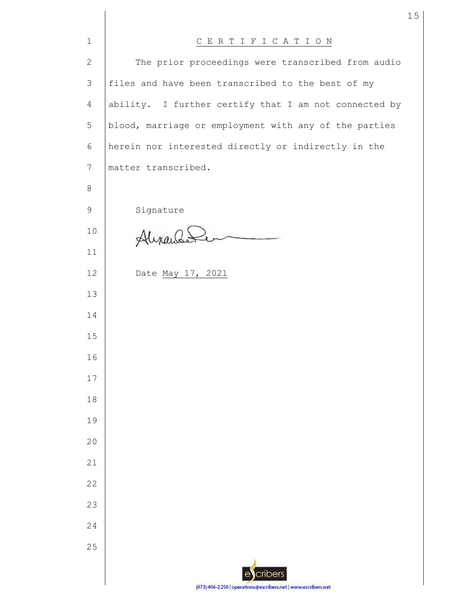| $\mathbf{1}$   | CERTIFICATION                                                 |
|----------------|---------------------------------------------------------------|
| $\mathbf{2}$   | The prior proceedings were transcribed from audio             |
| 3              | files and have been transcribed to the best of my             |
| $\overline{4}$ | ability. I further certify that I am not connected by         |
| 5              | blood, marriage or employment with any of the parties         |
| 6              | herein nor interested directly or indirectly in the           |
| 7              | matter transcribed.                                           |
| 8              |                                                               |
| $\mathsf 9$    | Signature                                                     |
| 10             | Alixandele                                                    |
| 11             |                                                               |
| 12             | Date May 17, 2021                                             |
| 13             |                                                               |
| 14             |                                                               |
| 15             |                                                               |
| 16             |                                                               |
| 17             |                                                               |
| 18             |                                                               |
| 19             |                                                               |
| 20             |                                                               |
| 21             |                                                               |
| 22             |                                                               |
| 23             |                                                               |
| 24             |                                                               |
| 25             |                                                               |
|                | ecribers                                                      |
|                | (973) 406-2250   operations@escribers.net   www.escribers.net |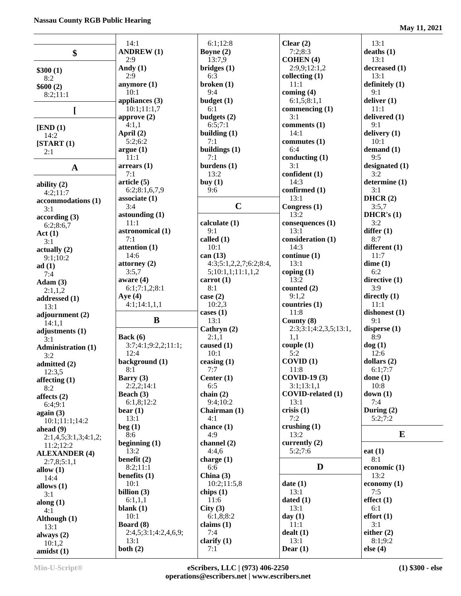|                                      | 14:1                          | 6:1;12:8               | Clear $(2)$                     | 13:1                     |
|--------------------------------------|-------------------------------|------------------------|---------------------------------|--------------------------|
| \$                                   | <b>ANDREW (1)</b>             | Boyne $(2)$            | 7:2;8:3                         | deaths(1)                |
|                                      | 2:9                           | 13:7,9                 | <b>COHEN</b> (4)                | 13:1                     |
| \$300(1)                             | Andy $(1)$                    | bridges(1)             | 2:9,9;12:1,2                    | decreased (1)            |
| 8:2                                  | 2:9                           | 6:3                    | collecting $(1)$                | 13:1                     |
| \$600(2)                             | anymore (1)                   | broken(1)              | 11:1                            | definitely (1)           |
| 8:2;11:1                             | 10:1                          | 9:4                    | coming $(4)$                    | 9:1                      |
|                                      | appliances (3)<br>10:1;11:1,7 | budget(1)<br>6:1       | 6:1,5;8:1,1<br>commencing $(1)$ | deliver $(1)$<br>11:1    |
| I                                    | approve $(2)$                 | budgets $(2)$          | 3:1                             | delivered $(1)$          |
|                                      | 4:1,1                         | 6:5;7:1                | comments (1)                    | 9:1                      |
| [END (1)]                            | April (2)                     | building $(1)$         | 14:1                            | delivery (1)             |
| 14:2                                 | 5:2;6:2                       | 7:1                    | commutes $(1)$                  | 10:1                     |
| [START(1)]                           | argue(1)                      | buildings (1)          | 6:4                             | demand $(1)$             |
| 2:1                                  | 11:1                          | 7:1                    | conducting $(1)$                | 9:5                      |
|                                      | arrears(1)                    | burdens $(1)$          | 3:1                             | designated $(1)$         |
| $\mathbf A$                          | 7:1                           | 13:2                   | confident (1)                   | 3:2                      |
| ability $(2)$                        | article (5)                   | buy $(1)$              | 14:3                            | determine (1)            |
| 4:2;11:7                             | 6:2;8:1,6,7,9                 | 9:6                    | confirmed (1)                   | 3:1                      |
| accommodations (1)                   | associate $(1)$               |                        | 13:1                            | DHCR(2)                  |
| 3:1                                  | 3:4                           | $\mathbf C$            | Congress (1)                    | 3:5,7                    |
| according(3)                         | astounding $(1)$              |                        | 13:2                            | DHCR's $(1)$             |
| 6:2;8:6,7                            | 11:1                          | calculate (1)          | consequences <sub>(1)</sub>     | 3:2                      |
| Act(1)                               | astronomical (1)              | 9:1                    | 13:1                            | differ $(1)$             |
| 3:1                                  | 7:1                           | called (1)             | consideration (1)               | 8:7                      |
| actually(2)                          | attention (1)                 | 10:1                   | 14:3                            | different (1)            |
| 9:1;10:2                             | 14:6                          | can (13)               | continue (1)                    | 11:7                     |
| ad(1)                                | attorney $(2)$                | 4:3;5:1,2,2,7;6:2;8:4, | 13:1                            | dime(1)                  |
| 7:4                                  | 3:5,7                         | 5;10:1,1;11:1,1,2      | coping $(1)$                    | 6:2                      |
| Adam(3)                              | aware $(4)$                   | carrot $(1)$           | 13:2                            | directive (1)            |
| 2:1,1,2                              | 6:1;7:1,2;8:1                 | 8:1                    | counted $(2)$                   | 3:9                      |
| addressed (1)                        | Aye $(4)$                     | case $(2)$             | 9:1,2                           | directly $(1)$           |
| 13:1                                 | 4:1;14:1,1,1                  | 10:2,3                 | countries (1)                   | 11:1                     |
| adjournment (2)                      |                               | cases $(1)$            | 11:8                            | dishonest $(1)$          |
| 14:1,1                               | B                             | 13:1                   | County (8)                      | 9:1                      |
| adjustments (1)                      |                               | Cathryn (2)            | 2:3;3:1;4:2,3,5;13:1,           | disperse $(1)$           |
| 3:1                                  | Back $(6)$                    | 2:1,1                  | 1,1                             | 8:9                      |
| <b>Administration (1)</b>            | 3:7;4:1;9:2,2;11:1;           | caused (1)             | couple (1)                      | $\log(1)$                |
| 3:2                                  | 12:4                          | 10:1                   | 5:2                             | 12:6                     |
| admitted (2)                         | background (1)                | ceasing $(1)$          | COVID(1)                        | dollars $(2)$<br>6:1:7:7 |
| 12:3,5                               | 8:1                           | 7:7                    | 11:8<br><b>COVID-19 (3)</b>     |                          |
| affecting $(1)$                      | Barry (3)<br>2:2,2;14:1       | Center $(1)$<br>6:5    | 3:1;13:1,1                      | done $(1)$<br>10:8       |
| 8:2                                  | Beach (3)                     | chain $(2)$            | <b>COVID-related (1)</b>        | down(1)                  |
| affects $(2)$                        | 6:1,8;12:2                    | 9:4;10:2               | 13:1                            | 7:4                      |
| 6:4:9:1                              | bear $(1)$                    | Chairman (1)           | crisis $(1)$                    | During $(2)$             |
| again $(3)$                          | 13:1                          | 4:1                    | 7:2                             | 5:2;7:2                  |
| 10:1;11:1;14:2                       | beg(1)                        | chance $(1)$           | crushing $(1)$                  |                          |
| ahead $(9)$                          | 8:6                           | 4:9                    | 13:2                            | E                        |
| 2:1,4,5;3:1,3;4:1,2;                 | beginning $(1)$               | channel $(2)$          | currently (2)                   |                          |
| 11:2;12:2<br><b>ALEXANDER (4)</b>    | 13:2                          | 4:4,6                  | 5:2;7:6                         | eat $(1)$                |
| 2:7,8;5:1,1                          | benefit $(2)$                 | charge $(1)$           |                                 | 8:1                      |
| allow $(1)$                          | 8:2;11:1                      | 6:6                    | D                               | economic (1)             |
| 14:4                                 | benefits $(1)$                | China $(3)$            |                                 | 13:2                     |
| allows (1)                           | 10:1                          | 10:2;11:5,8            | date(1)                         | economy $(1)$            |
| 3:1                                  | billion $(3)$                 | chips $(1)$            | 13:1                            | 7:5                      |
| along $(1)$                          | 6:1,1,1                       | 11:6                   | dated $(1)$                     | effect(1)                |
| 4:1                                  | blank $(1)$                   | City(3)                | 13:1                            | 6:1                      |
|                                      |                               |                        |                                 |                          |
|                                      | 10:1                          | 6:1,8;8:2              | day $(1)$                       | effort(1)                |
| Although (1)                         | Board (8)                     | claims $(1)$           | 11:1                            | 3:1                      |
| 13:1                                 | 2:4,5;3:1;4:2,4,6,9;          | 7:4                    | dealt(1)                        | either $(2)$             |
| always $(2)$<br>10:1,2<br>amidst (1) | 13:1<br>both $(2)$            | clarify $(1)$<br>7:1   | 13:1<br>Dear $(1)$              | 8:1;9:2<br>else $(4)$    |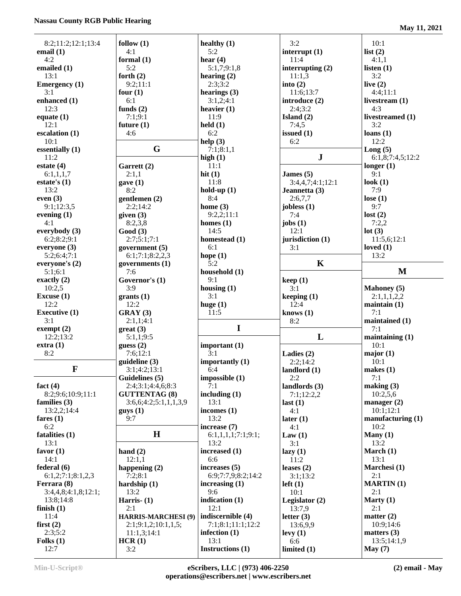## **Nassau County RGB Public Hearing**

**May 11, 2021**

| 8:2;11:2;12:1;13:4   | follow $(1)$               | healthy $(1)$            | 3:2                  | 10:1                     |
|----------------------|----------------------------|--------------------------|----------------------|--------------------------|
| email $(1)$          | 4:1                        | 5:2                      | interrupt $(1)$      | list $(2)$               |
| 4:2                  |                            |                          | 11:4                 |                          |
|                      | formal $(1)$               | hear $(4)$               |                      | 4:1,1                    |
| emailed (1)          | 5:2                        | 5:1,7;9:1,8              | interrupting $(2)$   | listen $(1)$             |
| 13:1                 | forth $(2)$                | hearing $(2)$            | 11:1,3               | 3:2                      |
| <b>Emergency</b> (1) | 9:2;11:1                   | 2:3:3:2                  | into $(2)$           | live $(2)$               |
| 3:1                  | four $(1)$                 | hearings $(3)$           | 11:6;13:7            | 4:4:11:1                 |
| enhanced (1)         | 6:1                        | 3:1,2;4:1                | introduce (2)        | livestream $(1)$         |
| 12:3                 | funds $(2)$                | heavier $(1)$            | 2:4;3:2              | 4:3                      |
| equate $(1)$         | 7:1;9:1                    | 11:9                     | Island $(2)$         | livestreamed (1)         |
| 12:1                 | future $(1)$               | $\text{held}(1)$         | 7:4,5                | 3:2                      |
| escalation (1)       | 4:6                        | 6:2                      | issued $(1)$         | loans(1)                 |
| 10:1                 |                            | help(3)                  | 6:2                  | 12:2                     |
| essentially (1)      | G                          | 7:1;8:1,1                |                      | Long(5)                  |
| 11:2                 |                            | high $(1)$               | ${\bf J}$            | 6:1,8;7:4,5;12:2         |
| estate $(4)$         | Garrett (2)                | 11:1                     |                      | longer $(1)$             |
|                      |                            | hit $(1)$                |                      | 9:1                      |
| 6:1,1,1,7            | 2:1,1                      |                          | James $(5)$          |                          |
| estate's $(1)$       | gave(1)                    | 11:8                     | 3:4,4,7;4:1;12:1     | look $(1)$               |
| 13:2                 | 8:2                        | hold-up $(1)$            | Jeannetta (3)        | 7:9                      |
| even $(3)$           | gentlemen $(2)$            | 8:4                      | 2:6,7,7              | lose $(1)$               |
| 9:1;12:3,5           | 2:2;14:2                   | home $(3)$               | jobless (1)          | 9:7                      |
| evening $(1)$        | given $(3)$                | 9:2,2;11:1               | 7:4                  | lost(2)                  |
| 4:1                  | 8:2,3,8                    | homes $(1)$              | jobs $(1)$           | 7:2,2                    |
| everybody $(3)$      | Good(3)                    | 14:5                     | 12:1                 | lot(3)                   |
| 6:2;8:2;9:1          | 2:7;5:1;7:1                | homestead (1)            | jurisdiction (1)     | 11:5,6;12:1              |
| everyone (3)         | government $(5)$           | 6:1                      | 3:1                  | loved $(1)$              |
| 5:2;6:4;7:1          | 6:1;7:1;8:2,2,3            | hope $(1)$               |                      | 13:2                     |
| everyone's (2)       | governments $(1)$          | 5:2                      | $\mathbf K$          |                          |
| 5:1;6:1              | 7:6                        | household (1)            |                      | M                        |
| exactly $(2)$        | Governor's (1)             | 9:1                      | keep(1)              |                          |
| 10:2,5               | 3:9                        |                          |                      |                          |
|                      |                            | housing $(1)$            | 3:1                  | <b>Mahoney</b> (5)       |
|                      |                            |                          |                      |                          |
| Excuse $(1)$         | grants(1)                  | 3:1                      | keeping (1)          | 2:1,1,1,2,2              |
| 12:2                 | 12:2                       | huge $(1)$               | 12:4                 | $main(1)$                |
| <b>Executive (1)</b> | GRAY(3)                    | 11:5                     | knows $(1)$          | 7:1                      |
| 3:1                  | 2:1,1;4:1                  |                          | 8:2                  | maintained (1)           |
| exempt $(2)$         | $gr$ eat (3)               | I                        |                      | 7:1                      |
| 12:2;13:2            | 5:1,1;9:5                  |                          | L                    | maintaining $(1)$        |
| extra(1)             | guess(2)                   | important $(1)$          |                      | 10:1                     |
| 8:2                  | 7:6;12:1                   | 3:1                      | Ladies $(2)$         |                          |
|                      |                            |                          |                      | major(1)                 |
|                      | guideline(3)               | importantly (1)          | 2:2;14:2             | 10:1                     |
| $\mathbf F$          | 3:1;4:2;13:1               | 6:4                      | landlord $(1)$       | makes $(1)$              |
|                      | Guidelines (5)             | impossible (1)           | 2:2                  | 7:1                      |
| fact $(4)$           | 2:4;3:1;4:4,6;8:3          | 7:1                      | landlords $(3)$      | making (3)               |
| 8:2;9:6;10:9;11:1    | <b>GUTTENTAG (8)</b>       | including $(1)$          | 7:1;12:2,2           | 10:2,5,6                 |
| families $(3)$       | 3:6,6;4:2;5:1,1,1,3,9      | 13:1                     | last(1)              | manager $(2)$            |
| 13:2,2;14:4          | $g$ uys $(1)$              | incomes $(1)$            | 4:1                  | 10:1;12:1                |
| fares $(1)$          | 9:7                        | 13:2                     | later $(1)$          | manufacturing $(1)$      |
| 6:2                  |                            | increase (7)             | 4:1                  | 10:2                     |
| fatalities (1)       | H                          | 6:1,1,1,1;7:1;9:1;       | Law(1)               | Many $(1)$               |
| 13:1                 |                            | 13:2                     | 3:1                  | 13:2                     |
| favor $(1)$          | hand $(2)$                 | increased (1)            | lazy(1)              | March $(1)$              |
| 14:1                 | 12:1,1                     | 6:6                      | 11:2                 | 13:1                     |
| federal (6)          | happening $(2)$            | increases $(5)$          | leases $(2)$         | Marchesi (1)             |
| 6:1,2;7:1;8:1,2,3    |                            | 6:9;7:7,9;8:2;14:2       |                      | 2:1                      |
|                      | 7:2;8:1                    |                          | 3:1;13:2             |                          |
| Ferrara (8)          | hardship $(1)$             | increasing $(1)$         | $left(1\right)$      | <b>MARTIN</b> (1)        |
| 3:4,4,8;4:1,8;12:1;  | 13:2                       | 9:6                      | 10:1                 | 2:1                      |
| 13:8;14:8            | Harris $ (1)$              | indication (1)           | Legislator $(2)$     | Marty $(1)$              |
| finish $(1)$         | 2:1                        | 12:1                     | 13:7,9               | 2:1                      |
| 11:4                 | <b>HARRIS-MARCHESI (9)</b> | indiscernible (4)        | letter $(3)$         | matter $(2)$             |
| first $(2)$          | 2:1;9:1,2;10:1,1,5;        | 7:1;8:1;11:1;12:2        | 13:6,9,9             | 10:9;14:6                |
| 2:3;5:2              | 11:1,3;14:1                | infection $(1)$          | levy(1)              | matters $(3)$            |
| Folks $(1)$<br>12:7  | HCR(1)<br>3:2              | 13:1<br>Instructions (1) | 6:6<br>limited $(1)$ | 13:5;14:1,9<br>May $(7)$ |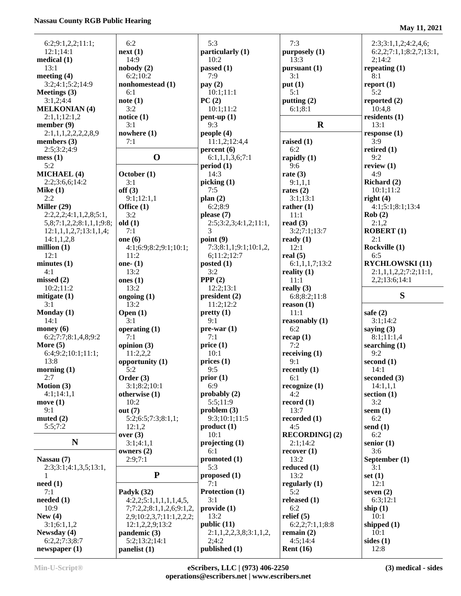## **Nassau County RGB Public Hearing**

**May 11, 2021**

| 6:2;9:1,2,2;11:1;             | 6:2                           | 5:3                    | 7:3                    | 2:3;3:1,1,2;4:2,4,6;    |
|-------------------------------|-------------------------------|------------------------|------------------------|-------------------------|
| 12:1:14:1                     | next(1)                       | particularly (1)       | purposely (1)          | 6:2,2;7:1,1;8:2,7;13:1, |
| medical $(1)$                 | 14:9                          | 10:2                   | 13:3                   | 2:14:2                  |
| 13:1                          | nobody(2)                     | passed (1)             | pursuant (1)           | repeating $(1)$         |
| meeting (4)                   | 6:2;10:2                      | 7:9                    | 3:1                    | 8:1                     |
| 3:2;4:1;5:2;14:9              | nonhomestead (1)              | pay $(2)$              | put(1)                 | report(1)               |
| Meetings (3)                  | 6:1                           | 10:1;11:1              | 5:1                    | 5:2                     |
| 3:1,2;4:4                     | note(1)                       | PC(2)                  | putting $(2)$          | reported $(2)$          |
| <b>MELKONIAN (4)</b>          | 3:2                           | 10:1;11:2              | 6:1;8:1                | 10:4,8                  |
| 2:1,1;12:1,2                  | notice $(1)$                  | $pent-up(1)$           |                        | residents $(1)$         |
| member $(9)$                  | 3:1                           | 9:3                    | $\mathbf R$            | 13:1                    |
| 2:1,1,1,2,2,2,2,8,9           | nowhere (1)                   | people $(4)$           |                        | response $(1)$          |
| members $(3)$                 | 7:1                           | 11:1,2;12:4,4          | raised $(1)$           | 3:9                     |
| 2:5;3:2;4:9                   |                               | percent(6)             | 6:2                    | retired $(1)$           |
| mess(1)                       | $\mathbf 0$                   | 6:1,1,1,3,6;7:1        | rapidly $(1)$          | 9:2                     |
| 5:2                           |                               | period(1)              | 9:6                    | review $(1)$            |
| <b>MICHAEL (4)</b>            | October (1)                   | 14:3                   | rate $(3)$             | 4:9                     |
| 2:2;3:6,6;14:2                | 3:1                           | picking(1)             | 9:1,1,1                | Richard (2)             |
| Mike $(1)$                    | off(3)                        | 7:5                    | rates $(2)$            | 10:1;11:2               |
| 2:2                           | 9:1;12:1,1                    | plan $(2)$             | 3:1;13:1               | right $(4)$             |
| Miller $(29)$                 | Office (1)                    | 6:2:8:9                | rather $(1)$           | 4:1;5:1;8:1;13:4        |
| 2:2,2,2;4:1,1,2,8;5:1,        | 3:2                           | please $(7)$           | 11:1                   | Rob(2)                  |
| 5,8;7:1,2,2;8:1,1,1;9:8;      | old(1)                        | 2:5;3:2,3;4:1,2;11:1,  | read $(3)$             | 2:1,2                   |
| 12:1,1,1,2,7;13:1,1,4;        | 7:1                           | 3                      | 3:2;7:1;13:7           | <b>ROBERT</b> (1)       |
| 14:1,1,2,8                    | one $(6)$                     | point $(9)$            | ready $(1)$            | 2:1                     |
| million $(1)$                 | 4:1;6:9;8:2;9:1;10:1;         | 7:3;8:1,1;9:1;10:1,2,  | 12:1                   | Rockville (1)           |
| 12:1                          | 11:2                          | 6;11:2;12:7            | real $(5)$             | 6:5                     |
| minutes(1)                    | one- $(1)$                    | posted $(1)$           | 6:1,1,1,7;13:2         | <b>RYCHLOWSKI</b> (11)  |
| 4:1                           | 13:2                          | 3:2                    | reality $(1)$          | 2:1,1,1,2,2;7:2;11:1,   |
| missed $(2)$                  | ones $(1)$                    | PPP $(2)$              | 11:1                   | 2,2;13:6;14:1           |
| 10:2;11:2                     | 13:2                          | 12:2;13:1              | really $(3)$           |                         |
| mitigate (1)                  | ongoing $(1)$                 | president(2)           | 6:8:8:2:11:8           | S                       |
| 3:1                           | 13:2                          | 11:2;12:2              | reason $(1)$           |                         |
| Monday (1)                    | Open $(1)$                    | prety(1)               | 11:1                   | safe $(2)$              |
| 14:1                          | 3:1                           | 9:1                    | reasonably $(1)$       | 3:1;14:2                |
| money $(6)$                   | operating (1)                 | $pre-war(1)$           | 6:2                    | saying $(3)$            |
| 6:2;7:7;8:1,4,8;9:2           | 7:1                           | 7:1                    | recap(1)               | 8:1;11:1,4              |
| More $(5)$                    | opinion $(3)$                 | price(1)               | 7:2                    | searching $(1)$         |
| 6:4;9:2;10:1;11:1;            | 11:2,2,2                      | 10:1                   | receiving $(1)$        | 9:2                     |
| 13:8                          | opportunity (1)               | prices(1)              | 9:1                    | second $(1)$            |
| morning $(1)$                 | 5:2                           | 9:5                    | recently $(1)$         | 14:1                    |
| 2:7                           | Order $(3)$                   | prior(1)               | 6:1                    | seconded $(3)$          |
| Motion (3)                    | 3:1;8:2;10:1                  | 6:9                    | recognize $(1)$        | 14:1,1,1                |
| 4:1;14:1,1                    | otherwise $(1)$               | probably $(2)$         | 4:2                    | section $(1)$           |
|                               | 10:2                          | 5:5;11:9               |                        | 3:2                     |
| move $(1)$<br>9:1             | out $(7)$                     | problem(3)             | record $(1)$<br>13:7   | seem $(1)$              |
|                               | 5:2;6:5;7:3;8:1,1;            | 9:3;10:1;11:5          |                        | 6:2                     |
| muted $(2)$<br>5:5;7:2        | 12:1,2                        | product(1)             | recorded $(1)$<br>4:5  | send $(1)$              |
|                               | over $(3)$                    | 10:1                   | <b>RECORDING</b> ] (2) | 6:2                     |
| ${\bf N}$                     | 3:1;4:1,1                     | projecting(1)          |                        | senior $(1)$            |
|                               | owners $(2)$                  | 6:1                    | 2:1;14:2               | 3:6                     |
| Nassau (7)                    | 2:9;7:1                       | promoted (1)           | recover(1)<br>13:2     | September (1)           |
| 2:3;3:1;4:1,3,5;13:1,         |                               | 5:3                    | reduced $(1)$          | 3:1                     |
|                               | ${\bf P}$                     |                        |                        |                         |
| 1                             |                               | proposed $(1)$<br>7:1  | 13:2                   | set $(1)$<br>12:1       |
| need(1)                       |                               |                        | regularly $(1)$        |                         |
| 7:1                           | Padyk (32)                    | Protection (1)<br>3:1  | 5:2                    | seven $(2)$             |
| needed $(1)$                  | 4:2,2;5:1,1,1,1,1,4,5,        |                        | released $(1)$         | 6:3;12:1                |
| 10:9                          | 7;7:2,2;8:1,1,2,6;9:1,2,      | provide(1)             | 6:2                    | ship $(1)$              |
| New $(4)$                     | 2,9;10:2,3,7;11:1,2,2,2;      | 13:2                   | relief $(5)$           | 10:1                    |
| 3:1;6:1,1,2                   | 12:1,2,2,9;13:2               | public (11)            | 6:2,2;7:1,1;8:8        | shipped $(1)$           |
| Newsday (4)                   | pandemic (3)                  | 2:1,1,2,2,3,8;3:1,1,2, | remain $(2)$           | 10:1                    |
| 6:2,2;7:3;8:7<br>newspaper(1) | 5:2;13:2;14:1<br>panelist (1) | 2;4:2<br>published (1) | 4:5;14:4               | sides $(1)$             |
|                               |                               |                        | Rent $(16)$            | 12:8                    |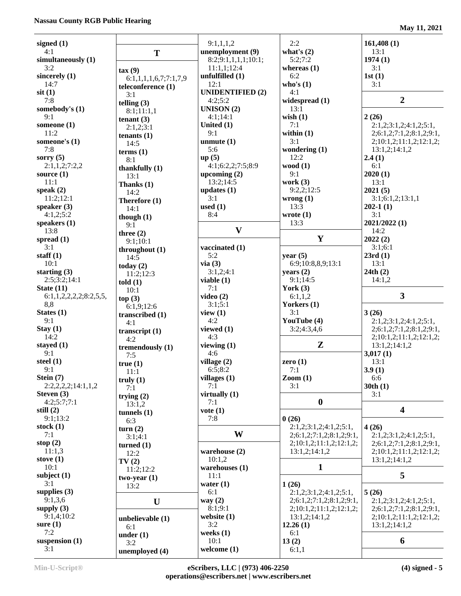| signed $(1)$           |                        | 9:1,1,1,2                     | 2:2                                 | 161,408(1)                               |
|------------------------|------------------------|-------------------------------|-------------------------------------|------------------------------------------|
| 4:1                    | T                      | unemployment (9)              | what's $(2)$                        | 13:1                                     |
| simultaneously (1)     |                        | 8:2;9:1,1,1,1;10:1;           | 5:2:7:2                             | 1974(1)                                  |
| 3:2                    | $\text{tax}(9)$        | 11:1,1;12:4                   | whereas $(1)$                       | 3:1                                      |
| sincerely $(1)$        | 6:1,1,1,1,6,7;7:1,7,9  | unfulfilled (1)               | 6:2                                 | 1st(1)                                   |
| 14:7                   | teleconference (1)     | 12:1                          | who's $(1)$                         | 3:1                                      |
| $s$ it $(1)$           | 3:1                    | <b>UNIDENTIFIED (2)</b>       | 4:1                                 |                                          |
| 7:8                    | telling $(3)$          | 4:2;5:2                       | widespread (1)                      | $\overline{2}$                           |
| somebody's (1)         | 8:1;11:1,1             | UNISON $(2)$                  | 13:1                                |                                          |
| 9:1                    | tenant $(3)$           | 4:1;14:1                      | wish $(1)$                          | 2(26)                                    |
| someone (1)            | 2:1,2;3:1              | United (1)                    | 7:1                                 | 2:1,2;3:1,2;4:1,2;5:1,                   |
| 11:2                   | tenants $(1)$          | 9:1                           | within $(1)$<br>3:1                 | 2;6:1,2;7:1,2;8:1,2;9:1,                 |
| someone's (1)<br>7:8   | 14:5                   | unmute $(1)$<br>5:6           | wondering $(1)$                     | 2;10:1,2;11:1,2;12:1,2;<br>13:1,2;14:1,2 |
| sorry $(5)$            | terms $(1)$            | up(5)                         | 12:2                                | 2.4(1)                                   |
| 2:1,1,2;7:2,2          | 8:1                    | 4:1;6:2,2;7:5;8:9             | wood $(1)$                          | 6:1                                      |
| source $(1)$           | thankfully $(1)$       | upcoming $(2)$                | 9:1                                 | 2020(1)                                  |
| 11:1                   | 13:1<br>Thanks (1)     | 13:2;14:5                     | work $(3)$                          | 13:1                                     |
| speak $(2)$            | 14:2                   | updates $(1)$                 | 9:2,2:12:5                          | 2021(5)                                  |
| 11:2;12:1              | Therefore (1)          | 3:1                           | wrong(1)                            | 3:1;6:1,2;13:1,1                         |
| speaker (3)            | 14:1                   | used $(1)$                    | 13:3                                | $202-1(1)$                               |
| 4:1,2;5:2              | though $(1)$           | 8:4                           | wrote $(1)$                         | 3:1                                      |
| speakers $(1)$         | 9:1                    |                               | 13:3                                | 2021/2022 (1)                            |
| 13:8                   | three $(2)$            | $\mathbf{V}$                  |                                     | 14:2                                     |
| spread $(1)$           | 9:1;10:1               |                               | $\mathbf{Y}$                        | 2022(2)                                  |
| 3:1                    | throughout $(1)$       | vaccinated (1)                |                                     | 3:1;6:1                                  |
| staff $(1)$            | 14:5                   | 5:2                           | year $(5)$                          | 23rd(1)                                  |
| 10:1<br>starting $(3)$ | today $(2)$            | via(3)<br>3:1,2;4:1           | 6:9;10:8,8,9;13:1<br>years $(2)$    | 13:1<br>24th(2)                          |
| 2:5;3:2;14:1           | 11:2;12:3              | viable $(1)$                  | 9:1;14:5                            | 14:1,2                                   |
| State $(11)$           | told(1)                | 7:1                           | York $(3)$                          |                                          |
| 6:1,1,2,2,2,2,3:2,5,5, | 10:1<br>top(3)         | video $(2)$                   | 6:1,1,2                             | $\overline{\mathbf{3}}$                  |
| 8,8                    | 6:1,9;12:6             | 3:1;5:1                       | Yorkers (1)                         |                                          |
| States $(1)$           | transcribed $(1)$      | view $(1)$                    | 3:1                                 | 3(26)                                    |
| 9:1                    | 4:1                    | 4:2                           | YouTube (4)                         | 2:1,2;3:1,2;4:1,2;5:1,                   |
| Stay(1)                | transcript $(1)$       | viewed (1)                    | 3:2;4:3,4,6                         | 2;6:1,2;7:1,2;8:1,2;9:1,                 |
| 14:2                   | 4:2                    | 4:3                           |                                     | 2;10:1,2;11:1,2;12:1,2;                  |
| stayed $(1)$           | tremendously (1)       | viewing $(1)$                 | $\mathbf{Z}$                        | 13:1,2;14:1,2                            |
| 9:1                    | 7:5                    | 4:6                           |                                     | 3,017(1)                                 |
| steel $(1)$<br>9:1     | true(1)                | village $(2)$                 | zero $(1)$<br>7:1                   | 13:1<br>3.9(1)                           |
| Stein $(7)$            | 11:1                   | 6:5;8:2<br>villages $(1)$     | $\mathrm{Zoom}\left(1\right)$       | 6:6                                      |
| 2:2,2,2,2;14:1,1,2     | truly $(1)$            | 7:1                           | 3:1                                 | 30th(1)                                  |
| Steven (3)             | 7:1                    | virtually (1)                 |                                     | 3:1                                      |
| 4:2;5:7;7:1            | trying $(2)$<br>13:1,2 | 7:1                           | $\bf{0}$                            |                                          |
| still $(2)$            | tunnels $(1)$          | $\mathbf{vote}\left(1\right)$ |                                     | $\overline{\mathbf{4}}$                  |
| 9:1;13:2               | 6:3                    | 7:8                           | 0(26)                               |                                          |
| stock $(1)$            | turn(2)                |                               | 2:1,2;3:1,2;4:1,2;5:1,              | 4(26)                                    |
| 7:1                    | 3:1;4:1                | W                             | 2; 6: 1, 2; 7: 1, 2; 8: 1, 2; 9: 1, | 2:1,2;3:1,2;4:1,2;5:1,                   |
| stop $(2)$             | turned $(1)$           |                               | 2;10:1,2;11:1,2;12:1,2;             | 2; 6: 1, 2; 7: 1, 2; 8: 1, 2; 9: 1,      |
| 11:1,3                 | 12:2                   | warehouse (2)                 | 13:1,2;14:1,2                       | 2;10:1,2;11:1,2;12:1,2;                  |
| stove $(1)$            | TV(2)                  | 10:1,2                        |                                     | 13:1,2;14:1,2                            |
| 10:1<br>subject $(1)$  | 11:2;12:2              | warehouses $(1)$              | 1                                   | 5                                        |
| 3:1                    | $two-year(1)$          | 11:1<br>water $(1)$           | 1(26)                               |                                          |
| supplies $(3)$         | 13:2                   | 6:1                           | 2:1,2;3:1,2;4:1,2;5:1,              | 5(26)                                    |
| 9:1,3,6                | U                      | way $(2)$                     | 2;6:1,2;7:1,2;8:1,2;9:1,            | 2:1,2;3:1,2;4:1,2;5:1,                   |
| supply $(3)$           |                        | 8:1;9:1                       | 2;10:1,2;11:1,2;12:1,2;             | 2;6:1,2;7:1,2;8:1,2;9:1,                 |
| 9:1,4;10:2             | unbelievable (1)       | website $(1)$                 | 13:1,2;14:1,2                       | 2;10:1,2;11:1,2;12:1,2;                  |
| sure $(1)$             | 6:1                    | 3:2                           | 12.26(1)                            | 13:1,2;14:1,2                            |
| 7:2                    | under $(1)$            | weeks (1)                     | 6:1                                 |                                          |
| suspension $(1)$       | 3:2                    | 10:1                          | 13(2)                               | 6                                        |
| 3:1                    | unemployed (4)         | welcome $(1)$                 | 6:1,1                               |                                          |